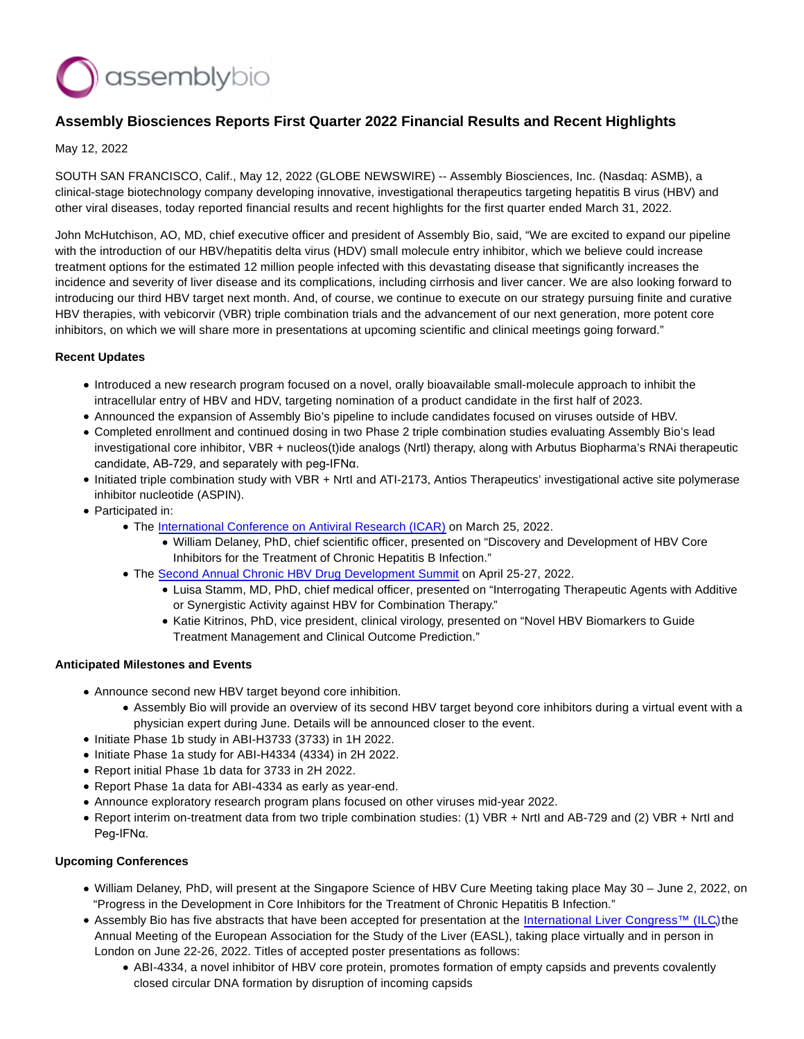

# **Assembly Biosciences Reports First Quarter 2022 Financial Results and Recent Highlights**

May 12, 2022

SOUTH SAN FRANCISCO, Calif., May 12, 2022 (GLOBE NEWSWIRE) -- Assembly Biosciences, Inc. (Nasdaq: ASMB), a clinical-stage biotechnology company developing innovative, investigational therapeutics targeting hepatitis B virus (HBV) and other viral diseases, today reported financial results and recent highlights for the first quarter ended March 31, 2022.

John McHutchison, AO, MD, chief executive officer and president of Assembly Bio, said, "We are excited to expand our pipeline with the introduction of our HBV/hepatitis delta virus (HDV) small molecule entry inhibitor, which we believe could increase treatment options for the estimated 12 million people infected with this devastating disease that significantly increases the incidence and severity of liver disease and its complications, including cirrhosis and liver cancer. We are also looking forward to introducing our third HBV target next month. And, of course, we continue to execute on our strategy pursuing finite and curative HBV therapies, with vebicorvir (VBR) triple combination trials and the advancement of our next generation, more potent core inhibitors, on which we will share more in presentations at upcoming scientific and clinical meetings going forward."

#### **Recent Updates**

- Introduced a new research program focused on a novel, orally bioavailable small-molecule approach to inhibit the intracellular entry of HBV and HDV, targeting nomination of a product candidate in the first half of 2023.
- Announced the expansion of Assembly Bio's pipeline to include candidates focused on viruses outside of HBV.
- Completed enrollment and continued dosing in two Phase 2 triple combination studies evaluating Assembly Bio's lead investigational core inhibitor, VBR + nucleos(t)ide analogs (Nrtl) therapy, along with Arbutus Biopharma's RNAi therapeutic candidate, AB-729, and separately with peg-IFNα.
- Initiated triple combination study with VBR + NrtI and ATI-2173, Antios Therapeutics' investigational active site polymerase inhibitor nucleotide (ASPIN).
- Participated in:
	- The [International Conference on Antiviral Research \(ICAR\)](https://www.isar-icar.com/ICAR) on March 25, 2022.
		- William Delaney, PhD, chief scientific officer, presented on "Discovery and Development of HBV Core Inhibitors for the Treatment of Chronic Hepatitis B Infection."
	- The [Second Annual Chronic HBV Drug Development Summit](https://chronic-hbv-summit.com/) on April 25-27, 2022.
		- Luisa Stamm, MD, PhD, chief medical officer, presented on "Interrogating Therapeutic Agents with Additive or Synergistic Activity against HBV for Combination Therapy."
		- Katie Kitrinos, PhD, vice president, clinical virology, presented on "Novel HBV Biomarkers to Guide Treatment Management and Clinical Outcome Prediction."

#### **Anticipated Milestones and Events**

- Announce second new HBV target beyond core inhibition.
	- Assembly Bio will provide an overview of its second HBV target beyond core inhibitors during a virtual event with a physician expert during June. Details will be announced closer to the event.
- Initiate Phase 1b study in ABI-H3733 (3733) in 1H 2022.
- Initiate Phase 1a study for ABI-H4334 (4334) in 2H 2022.
- Report initial Phase 1b data for 3733 in 2H 2022.
- Report Phase 1a data for ABI-4334 as early as year-end.
- Announce exploratory research program plans focused on other viruses mid-year 2022.
- Report interim on-treatment data from two triple combination studies: (1) VBR + NrtI and AB-729 and (2) VBR + NrtI and Peg-IFNα.

#### **Upcoming Conferences**

- William Delaney, PhD, will present at the Singapore Science of HBV Cure Meeting taking place May 30 June 2, 2022, on "Progress in the Development in Core Inhibitors for the Treatment of Chronic Hepatitis B Infection."
- Assembly Bio has five abstracts that have been accepted for presentation at the [International Liver Congress™ \(ILC\),](https://easl.eu/event/international-liver-congress-2022/) the Annual Meeting of the European Association for the Study of the Liver (EASL), taking place virtually and in person in London on June 22-26, 2022. Titles of accepted poster presentations as follows:
	- ABI-4334, a novel inhibitor of HBV core protein, promotes formation of empty capsids and prevents covalently closed circular DNA formation by disruption of incoming capsids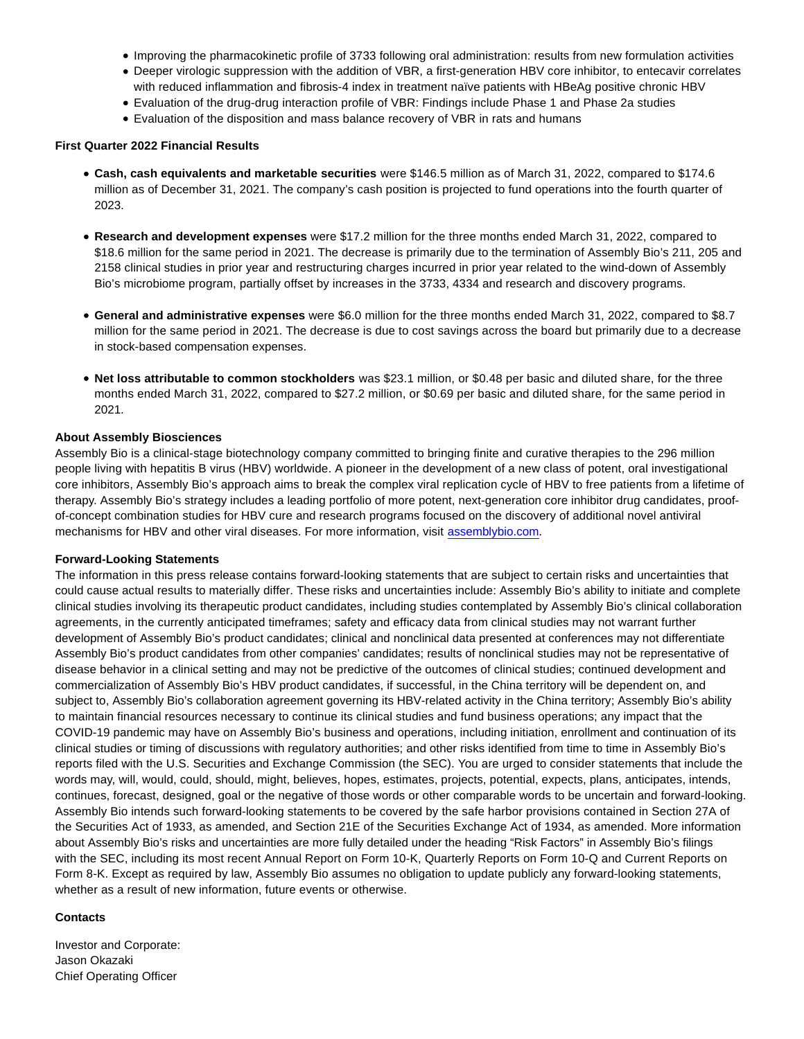- Improving the pharmacokinetic profile of 3733 following oral administration: results from new formulation activities
- Deeper virologic suppression with the addition of VBR, a first-generation HBV core inhibitor, to entecavir correlates with reduced inflammation and fibrosis-4 index in treatment naïve patients with HBeAg positive chronic HBV
- Evaluation of the drug-drug interaction profile of VBR: Findings include Phase 1 and Phase 2a studies
- Evaluation of the disposition and mass balance recovery of VBR in rats and humans

#### **First Quarter 2022 Financial Results**

- **Cash, cash equivalents and marketable securities** were \$146.5 million as of March 31, 2022, compared to \$174.6 million as of December 31, 2021. The company's cash position is projected to fund operations into the fourth quarter of 2023.
- **Research and development expenses** were \$17.2 million for the three months ended March 31, 2022, compared to \$18.6 million for the same period in 2021. The decrease is primarily due to the termination of Assembly Bio's 211, 205 and 2158 clinical studies in prior year and restructuring charges incurred in prior year related to the wind-down of Assembly Bio's microbiome program, partially offset by increases in the 3733, 4334 and research and discovery programs.
- **General and administrative expenses** were \$6.0 million for the three months ended March 31, 2022, compared to \$8.7 million for the same period in 2021. The decrease is due to cost savings across the board but primarily due to a decrease in stock-based compensation expenses.
- **Net loss attributable to common stockholders** was \$23.1 million, or \$0.48 per basic and diluted share, for the three months ended March 31, 2022, compared to \$27.2 million, or \$0.69 per basic and diluted share, for the same period in 2021.

#### **About Assembly Biosciences**

Assembly Bio is a clinical-stage biotechnology company committed to bringing finite and curative therapies to the 296 million people living with hepatitis B virus (HBV) worldwide. A pioneer in the development of a new class of potent, oral investigational core inhibitors, Assembly Bio's approach aims to break the complex viral replication cycle of HBV to free patients from a lifetime of therapy. Assembly Bio's strategy includes a leading portfolio of more potent, next-generation core inhibitor drug candidates, proofof-concept combination studies for HBV cure and research programs focused on the discovery of additional novel antiviral mechanisms for HBV and other viral diseases. For more information, visit [assemblybio.com.](https://www.globenewswire.com/Tracker?data=M1pgkayUaOFmSDUXsmAUCK-56KBcTQbAjdhYsVW8ZGMzdPv5ex2YAHO_pt3Q5I_UGvHHASZwqSOOTpRPH2b5sI0abG7Wcu4Dk4iVFbplX_U=)

#### **Forward-Looking Statements**

The information in this press release contains forward-looking statements that are subject to certain risks and uncertainties that could cause actual results to materially differ. These risks and uncertainties include: Assembly Bio's ability to initiate and complete clinical studies involving its therapeutic product candidates, including studies contemplated by Assembly Bio's clinical collaboration agreements, in the currently anticipated timeframes; safety and efficacy data from clinical studies may not warrant further development of Assembly Bio's product candidates; clinical and nonclinical data presented at conferences may not differentiate Assembly Bio's product candidates from other companies' candidates; results of nonclinical studies may not be representative of disease behavior in a clinical setting and may not be predictive of the outcomes of clinical studies; continued development and commercialization of Assembly Bio's HBV product candidates, if successful, in the China territory will be dependent on, and subject to, Assembly Bio's collaboration agreement governing its HBV-related activity in the China territory; Assembly Bio's ability to maintain financial resources necessary to continue its clinical studies and fund business operations; any impact that the COVID-19 pandemic may have on Assembly Bio's business and operations, including initiation, enrollment and continuation of its clinical studies or timing of discussions with regulatory authorities; and other risks identified from time to time in Assembly Bio's reports filed with the U.S. Securities and Exchange Commission (the SEC). You are urged to consider statements that include the words may, will, would, could, should, might, believes, hopes, estimates, projects, potential, expects, plans, anticipates, intends, continues, forecast, designed, goal or the negative of those words or other comparable words to be uncertain and forward-looking. Assembly Bio intends such forward-looking statements to be covered by the safe harbor provisions contained in Section 27A of the Securities Act of 1933, as amended, and Section 21E of the Securities Exchange Act of 1934, as amended. More information about Assembly Bio's risks and uncertainties are more fully detailed under the heading "Risk Factors" in Assembly Bio's filings with the SEC, including its most recent Annual Report on Form 10-K, Quarterly Reports on Form 10-Q and Current Reports on Form 8-K. Except as required by law, Assembly Bio assumes no obligation to update publicly any forward-looking statements, whether as a result of new information, future events or otherwise.

#### **Contacts**

Investor and Corporate: Jason Okazaki Chief Operating Officer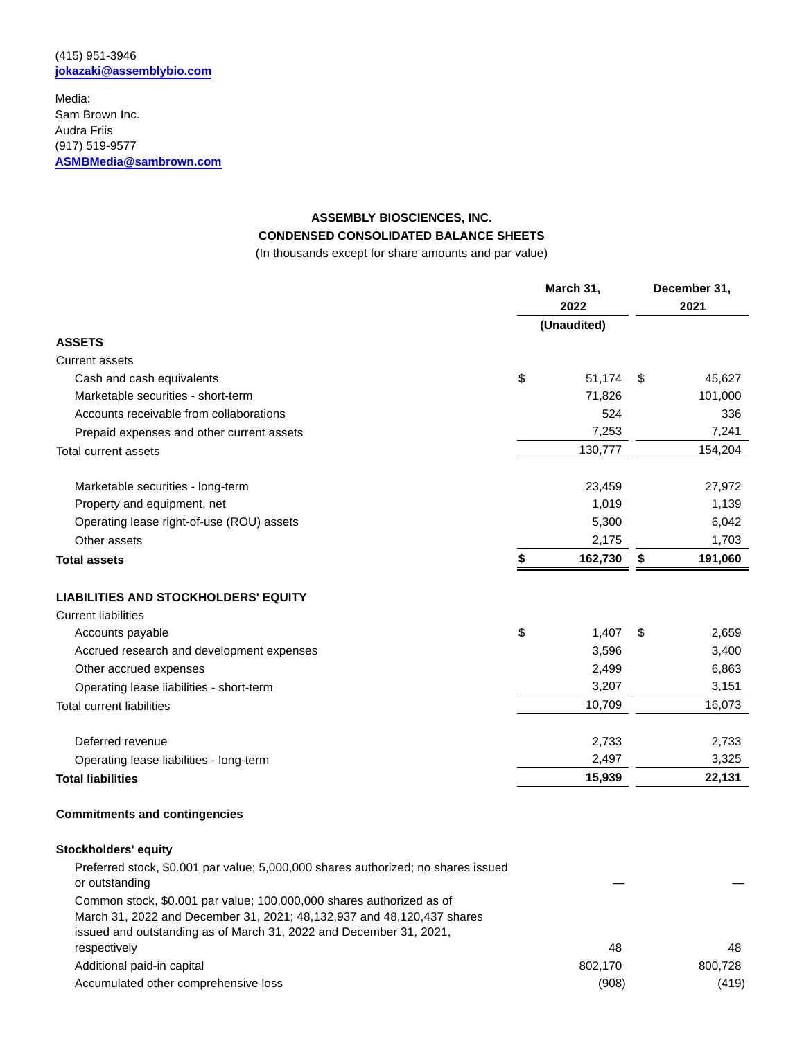### (415) 951-3946 **[jokazaki@assemblybio.com](https://www.globenewswire.com/Tracker?data=_1H0gHeohfGfmwF-QlmD69KZxjIo9XdHediMTRMOynp3kR0T927OnuBj8Yq3vhgJEA97Aaw-2x8GuAP98gCLYNOye3VV-WH7db2GHRXtSwY=)**

Media: Sam Brown Inc. Audra Friis (917) 519-9577 **[ASMBMedia@sambrown.com](https://www.globenewswire.com/Tracker?data=dEevmItomfdlJ24h5CgH6jCCkIKsOWar23kfd-gPmUc-kFYva6TxsvXzYwjqFreiXtTANMpz1QT0EwxCg44smZiW2yyWC1NNLeVukIuxhso=)**

# **ASSEMBLY BIOSCIENCES, INC. CONDENSED CONSOLIDATED BALANCE SHEETS**

(In thousands except for share amounts and par value)

|                                             | March 31,<br>2022 |    | December 31,<br>2021 |  |
|---------------------------------------------|-------------------|----|----------------------|--|
|                                             |                   |    |                      |  |
|                                             | (Unaudited)       |    |                      |  |
| <b>ASSETS</b>                               |                   |    |                      |  |
| <b>Current assets</b>                       |                   |    |                      |  |
| \$<br>Cash and cash equivalents             | 51,174            | \$ | 45,627               |  |
| Marketable securities - short-term          | 71,826            |    | 101,000              |  |
| Accounts receivable from collaborations     | 524               |    | 336                  |  |
| Prepaid expenses and other current assets   | 7,253             |    | 7,241                |  |
| <b>Total current assets</b>                 | 130,777           |    | 154,204              |  |
| Marketable securities - long-term           | 23,459            |    | 27,972               |  |
| Property and equipment, net                 | 1,019             |    | 1,139                |  |
| Operating lease right-of-use (ROU) assets   | 5,300             |    | 6,042                |  |
| Other assets                                | 2,175             |    | 1,703                |  |
| S<br><b>Total assets</b>                    | 162,730           | \$ | 191,060              |  |
| <b>LIABILITIES AND STOCKHOLDERS' EQUITY</b> |                   |    |                      |  |
| <b>Current liabilities</b>                  |                   |    |                      |  |
| \$<br>Accounts payable                      | 1,407             | \$ | 2,659                |  |
| Accrued research and development expenses   | 3,596             |    | 3,400                |  |
| Other accrued expenses                      | 2,499             |    | 6,863                |  |
| Operating lease liabilities - short-term    | 3,207             |    | 3,151                |  |
| <b>Total current liabilities</b>            | 10,709            |    | 16,073               |  |
| Deferred revenue                            | 2,733             |    | 2,733                |  |
| Operating lease liabilities - long-term     | 2,497             |    | 3,325                |  |
| <b>Total liabilities</b>                    | 15,939            |    | 22,131               |  |

## **Commitments and contingencies**

### **Stockholders' equity**

| Preferred stock, \$0.001 par value; 5,000,000 shares authorized; no shares issued |         |         |
|-----------------------------------------------------------------------------------|---------|---------|
| or outstanding                                                                    |         |         |
| Common stock, \$0.001 par value; 100,000,000 shares authorized as of              |         |         |
| March 31, 2022 and December 31, 2021; 48, 132, 937 and 48, 120, 437 shares        |         |         |
| issued and outstanding as of March 31, 2022 and December 31, 2021,                |         |         |
| respectively                                                                      | 48      | 48.     |
| Additional paid-in capital                                                        | 802.170 | 800.728 |
| Accumulated other comprehensive loss                                              | (908)   | (419)   |